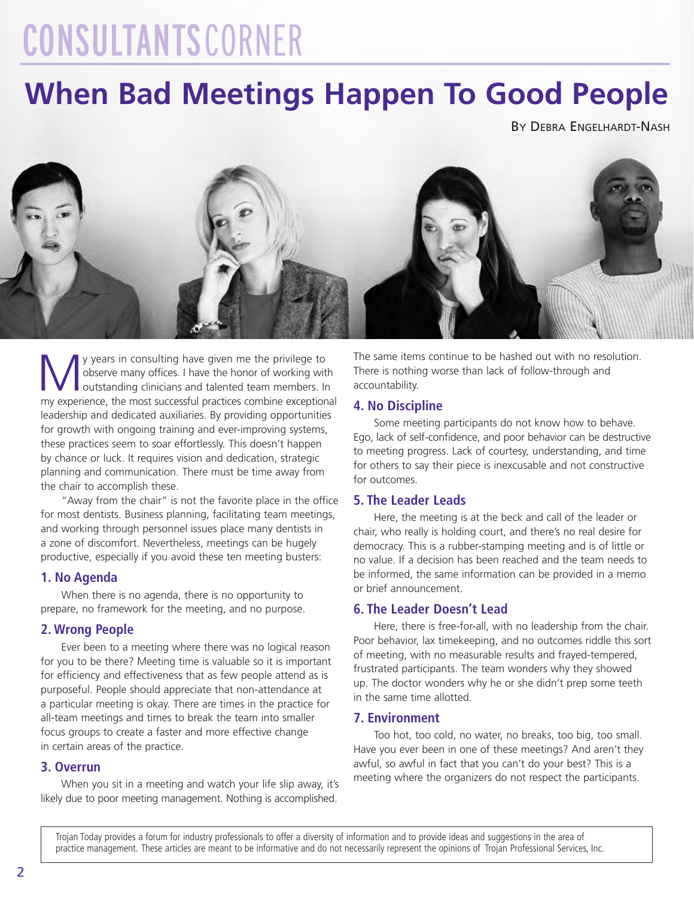# CONSULTANTSCORNER

## **When Bad Meetings Happen To Good People**

BY DEBRA ENGELHARDT-NASH



y years in consulting have given me the privilege to observe many offices. I have the honor of working with outstanding clinicians and talented team members. In my experience, the most successful practices combine exceptional leadership and dedicated auxiliaries. By providing opportunities for growth with ongoing training and ever-improving systems, these practices seem to soar effortlessly. This doesn't happen by chance or luck. It requires vision and dedication, strategic planning and communication. There must be time away from the chair to accomplish these.

"Away from the chair" is not the favorite place in the office for most dentists. Business planning, facilitating team meetings, and working through personnel issues place many dentists in a zone of discomfort. Nevertheless, meetings can be hugely productive, especially if you avoid these ten meeting busters:

#### **1. No Agenda**

When there is no agenda, there is no opportunity to prepare, no framework for the meeting, and no purpose.

#### **2. Wrong People**

Ever been to a meeting where there was no logical reason for you to be there? Meeting time is valuable so it is important for efficiency and effectiveness that as few people attend as is purposeful. People should appreciate that non-attendance at a particular meeting is okay. There are times in the practice for all-team meetings and times to break the team into smaller focus groups to create a faster and more effective change in certain areas of the practice.

#### **3. Overrun**

When you sit in a meeting and watch your life slip away, it's likely due to poor meeting management. Nothing is accomplished.

The same items continue to be hashed out with no resolution. There is nothing worse than lack of follow-through and accountability.

#### **4. No Discipline**

Some meeting participants do not know how to behave. Ego, lack of self-confidence, and poor behavior can be destructive to meeting progress. Lack of courtesy, understanding, and time for others to say their piece is inexcusable and not constructive for outcomes.

#### **5. The Leader Leads**

Here, the meeting is at the beck and call of the leader or chair, who really is holding court, and there's no real desire for democracy. This is a rubber-stamping meeting and is of little or no value. If a decision has been reached and the team needs to be informed, the same information can be provided in a memo or brief announcement.

#### **6. The Leader Doesn't Lead**

Here, there is free-for-all, with no leadership from the chair. Poor behavior, lax timekeeping, and no outcomes riddle this sort of meeting, with no measurable results and frayed-tempered, frustrated participants. The team wonders why they showed up. The doctor wonders why he or she didn't prep some teeth in the same time allotted.

#### **7. Environment**

Too hot, too cold, no water, no breaks, too big, too small. Have you ever been in one of these meetings? And aren't they awful, so awful in fact that you can't do your best? This is a meeting where the organizers do not respect the participants.

Trojan Today provides a forum for industry professionals to offer a diversity of information and to provide ideas and suggestions in the area of practice management. These articles are meant to be informative and do not necessarily represent the opinions of Trojan Professional Services, Inc.